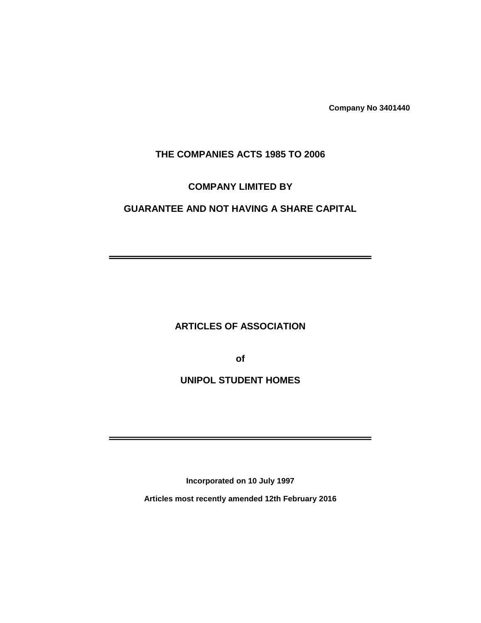**Company No 3401440**

—

-

# **THE COMPANIES ACTS 1985 TO 2006**

#### **COMPANY LIMITED BY**

# **GUARANTEE AND NOT HAVING A SHARE CAPITAL**

# **ARTICLES OF ASSOCIATION**

**of**

# **UNIPOL STUDENT HOMES**

**Incorporated on 10 July 1997**

**Articles most recently amended 12th February 2016**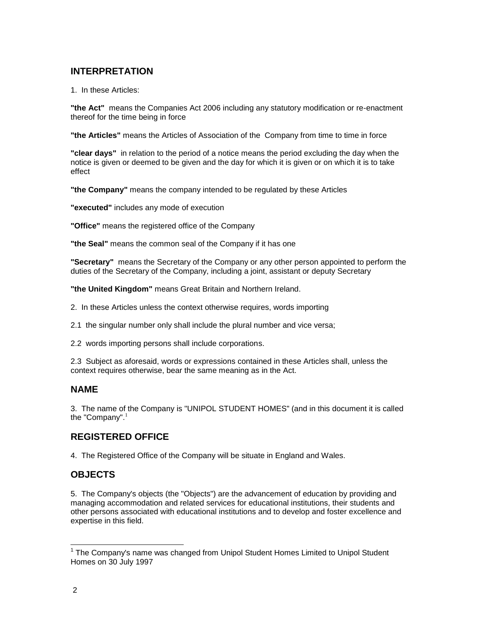## **INTERPRETATION**

1. In these Articles:

**"the Act"** means the Companies Act 2006 including any statutory modification or re-enactment thereof for the time being in force

**"the Articles"** means the Articles of Association of the Company from time to time in force

**"clear days"** in relation to the period of a notice means the period excluding the day when the notice is given or deemed to be given and the day for which it is given or on which it is to take effect

**"the Company"** means the company intended to be regulated by these Articles

**"executed"** includes any mode of execution

**"Office"** means the registered office of the Company

**"the Seal"** means the common seal of the Company if it has one

**"Secretary"** means the Secretary of the Company or any other person appointed to perform the duties of the Secretary of the Company, including a joint, assistant or deputy Secretary

**"the United Kingdom"** means Great Britain and Northern Ireland.

2. In these Articles unless the context otherwise requires, words importing

2.1 the singular number only shall include the plural number and vice versa;

2.2 words importing persons shall include corporations.

2.3 Subject as aforesaid, words or expressions contained in these Articles shall, unless the context requires otherwise, bear the same meaning as in the Act.

### **NAME**

3. The name of the Company is "UNIPOL STUDENT HOMES" (and in this document it is called the "Company". $1$ 

# **REGISTERED OFFICE**

4. The Registered Office of the Company will be situate in England and Wales.

# **OBJECTS**

5. The Company's objects (the "Objects") are the advancement of education by providing and managing accommodation and related services for educational institutions, their students and other persons associated with educational institutions and to develop and foster excellence and expertise in this field.

l

<sup>&</sup>lt;sup>1</sup> The Company's name was changed from Unipol Student Homes Limited to Unipol Student Homes on 30 July 1997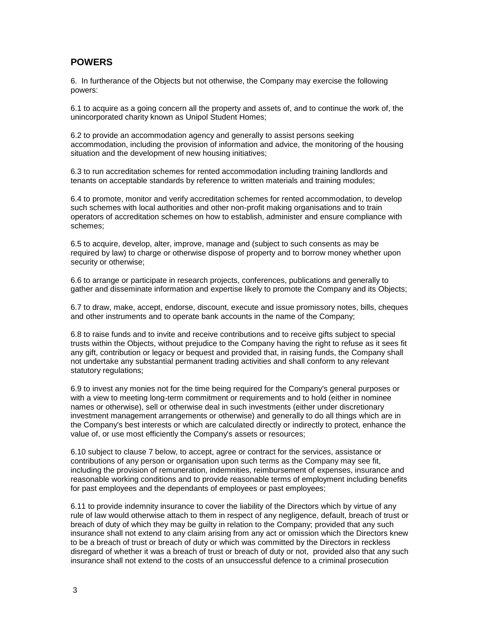### **POWERS**

6. In furtherance of the Objects but not otherwise, the Company may exercise the following powers:

6.1 to acquire as a going concern all the property and assets of, and to continue the work of, the unincorporated charity known as Unipol Student Homes;

6.2 to provide an accommodation agency and generally to assist persons seeking accommodation, including the provision of information and advice, the monitoring of the housing situation and the development of new housing initiatives;

6.3 to run accreditation schemes for rented accommodation including training landlords and tenants on acceptable standards by reference to written materials and training modules;

6.4 to promote, monitor and verify accreditation schemes for rented accommodation, to develop such schemes with local authorities and other non-profit making organisations and to train operators of accreditation schemes on how to establish, administer and ensure compliance with schemes;

6.5 to acquire, develop, alter, improve, manage and (subject to such consents as may be required by law) to charge or otherwise dispose of property and to borrow money whether upon security or otherwise;

6.6 to arrange or participate in research projects, conferences, publications and generally to gather and disseminate information and expertise likely to promote the Company and its Objects;

6.7 to draw, make, accept, endorse, discount, execute and issue promissory notes, bills, cheques and other instruments and to operate bank accounts in the name of the Company;

6.8 to raise funds and to invite and receive contributions and to receive gifts subject to special trusts within the Objects, without prejudice to the Company having the right to refuse as it sees fit any gift, contribution or legacy or bequest and provided that, in raising funds, the Company shall not undertake any substantial permanent trading activities and shall conform to any relevant statutory regulations;

6.9 to invest any monies not for the time being required for the Company's general purposes or with a view to meeting long-term commitment or requirements and to hold (either in nominee names or otherwise), sell or otherwise deal in such investments (either under discretionary investment management arrangements or otherwise) and generally to do all things which are in the Company's best interests or which are calculated directly or indirectly to protect, enhance the value of, or use most efficiently the Company's assets or resources;

6.10 subject to clause 7 below, to accept, agree or contract for the services, assistance or contributions of any person or organisation upon such terms as the Company may see fit, including the provision of remuneration, indemnities, reimbursement of expenses, insurance and reasonable working conditions and to provide reasonable terms of employment including benefits for past employees and the dependants of employees or past employees;

6.11 to provide indemnity insurance to cover the liability of the Directors which by virtue of any rule of law would otherwise attach to them in respect of any negligence, default, breach of trust or breach of duty of which they may be guilty in relation to the Company; provided that any such insurance shall not extend to any claim arising from any act or omission which the Directors knew to be a breach of trust or breach of duty or which was committed by the Directors in reckless disregard of whether it was a breach of trust or breach of duty or not, provided also that any such insurance shall not extend to the costs of an unsuccessful defence to a criminal prosecution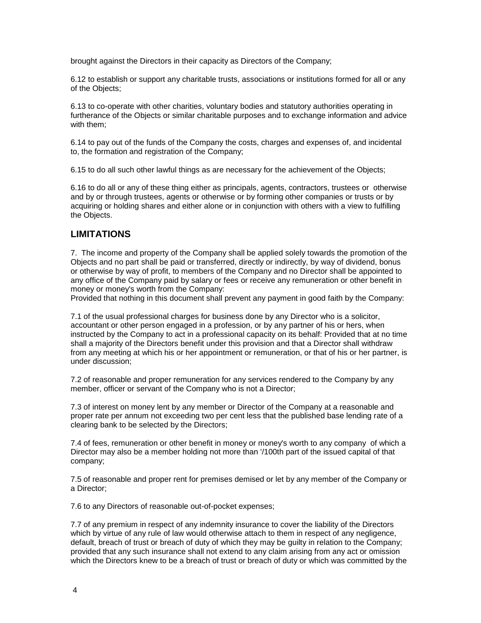brought against the Directors in their capacity as Directors of the Company;

6.12 to establish or support any charitable trusts, associations or institutions formed for all or any of the Objects;

6.13 to co-operate with other charities, voluntary bodies and statutory authorities operating in furtherance of the Objects or similar charitable purposes and to exchange information and advice with them;

6.14 to pay out of the funds of the Company the costs, charges and expenses of, and incidental to, the formation and registration of the Company;

6.15 to do all such other lawful things as are necessary for the achievement of the Objects;

6.16 to do all or any of these thing either as principals, agents, contractors, trustees or otherwise and by or through trustees, agents or otherwise or by forming other companies or trusts or by acquiring or holding shares and either alone or in conjunction with others with a view to fulfilling the Objects.

#### **LIMITATIONS**

7. The income and property of the Company shall be applied solely towards the promotion of the Objects and no part shall be paid or transferred, directly or indirectly, by way of dividend, bonus or otherwise by way of profit, to members of the Company and no Director shall be appointed to any office of the Company paid by salary or fees or receive any remuneration or other benefit in money or money's worth from the Company:

Provided that nothing in this document shall prevent any payment in good faith by the Company:

7.1 of the usual professional charges for business done by any Director who is a solicitor, accountant or other person engaged in a profession, or by any partner of his or hers, when instructed by the Company to act in a professional capacity on its behalf: Provided that at no time shall a majority of the Directors benefit under this provision and that a Director shall withdraw from any meeting at which his or her appointment or remuneration, or that of his or her partner, is under discussion;

7.2 of reasonable and proper remuneration for any services rendered to the Company by any member, officer or servant of the Company who is not a Director;

7.3 of interest on money lent by any member or Director of the Company at a reasonable and proper rate per annum not exceeding two per cent less that the published base lending rate of a clearing bank to be selected by the Directors;

7.4 of fees, remuneration or other benefit in money or money's worth to any company of which a Director may also be a member holding not more than '/100th part of the issued capital of that company;

7.5 of reasonable and proper rent for premises demised or let by any member of the Company or a Director;

7.6 to any Directors of reasonable out-of-pocket expenses;

7.7 of any premium in respect of any indemnity insurance to cover the liability of the Directors which by virtue of any rule of law would otherwise attach to them in respect of any negligence, default, breach of trust or breach of duty of which they may be guilty in relation to the Company; provided that any such insurance shall not extend to any claim arising from any act or omission which the Directors knew to be a breach of trust or breach of duty or which was committed by the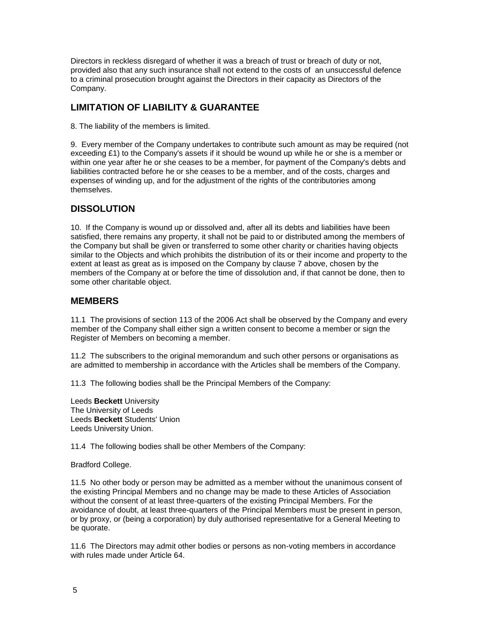Directors in reckless disregard of whether it was a breach of trust or breach of duty or not, provided also that any such insurance shall not extend to the costs of an unsuccessful defence to a criminal prosecution brought against the Directors in their capacity as Directors of the Company.

# **LIMITATION OF LIABILITY & GUARANTEE**

8. The liability of the members is limited.

9. Every member of the Company undertakes to contribute such amount as may be required (not exceeding £1) to the Company's assets if it should be wound up while he or she is a member or within one year after he or she ceases to be a member, for payment of the Company's debts and liabilities contracted before he or she ceases to be a member, and of the costs, charges and expenses of winding up, and for the adjustment of the rights of the contributories among themselves.

### **DISSOLUTION**

10. If the Company is wound up or dissolved and, after all its debts and liabilities have been satisfied, there remains any property, it shall not be paid to or distributed among the members of the Company but shall be given or transferred to some other charity or charities having objects similar to the Objects and which prohibits the distribution of its or their income and property to the extent at least as great as is imposed on the Company by clause 7 above, chosen by the members of the Company at or before the time of dissolution and, if that cannot be done, then to some other charitable object.

#### **MEMBERS**

11.1 The provisions of section 113 of the 2006 Act shall be observed by the Company and every member of the Company shall either sign a written consent to become a member or sign the Register of Members on becoming a member.

11.2 The subscribers to the original memorandum and such other persons or organisations as are admitted to membership in accordance with the Articles shall be members of the Company.

11.3 The following bodies shall be the Principal Members of the Company:

Leeds **Beckett** University The University of Leeds Leeds **Beckett** Students' Union Leeds University Union.

11.4 The following bodies shall be other Members of the Company:

Bradford College.

11.5 No other body or person may be admitted as a member without the unanimous consent of the existing Principal Members and no change may be made to these Articles of Association without the consent of at least three-quarters of the existing Principal Members. For the avoidance of doubt, at least three-quarters of the Principal Members must be present in person, or by proxy, or (being a corporation) by duly authorised representative for a General Meeting to be quorate.

11.6 The Directors may admit other bodies or persons as non-voting members in accordance with rules made under Article 64.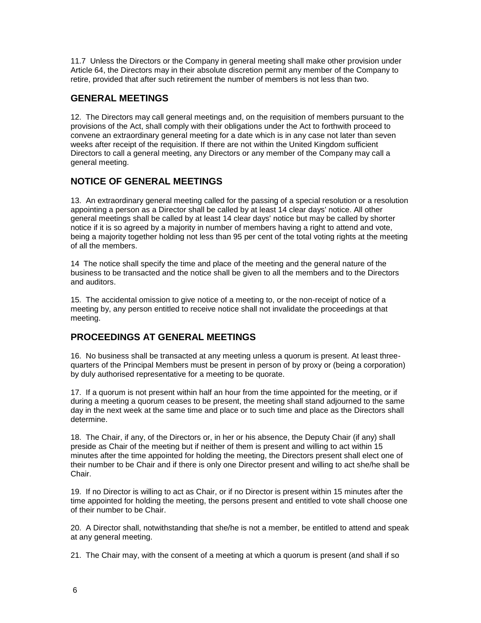11.7 Unless the Directors or the Company in general meeting shall make other provision under Article 64, the Directors may in their absolute discretion permit any member of the Company to retire, provided that after such retirement the number of members is not less than two.

## **GENERAL MEETINGS**

12. The Directors may call general meetings and, on the requisition of members pursuant to the provisions of the Act, shall comply with their obligations under the Act to forthwith proceed to convene an extraordinary general meeting for a date which is in any case not later than seven weeks after receipt of the requisition. If there are not within the United Kingdom sufficient Directors to call a general meeting, any Directors or any member of the Company may call a general meeting.

# **NOTICE OF GENERAL MEETINGS**

13. An extraordinary general meeting called for the passing of a special resolution or a resolution appointing a person as a Director shall be called by at least 14 clear days' notice. All other general meetings shall be called by at least 14 clear days' notice but may be called by shorter notice if it is so agreed by a majority in number of members having a right to attend and vote, being a majority together holding not less than 95 per cent of the total voting rights at the meeting of all the members.

14 The notice shall specify the time and place of the meeting and the general nature of the business to be transacted and the notice shall be given to all the members and to the Directors and auditors.

15. The accidental omission to give notice of a meeting to, or the non-receipt of notice of a meeting by, any person entitled to receive notice shall not invalidate the proceedings at that meeting.

# **PROCEEDINGS AT GENERAL MEETINGS**

16. No business shall be transacted at any meeting unless a quorum is present. At least threequarters of the Principal Members must be present in person of by proxy or (being a corporation) by duly authorised representative for a meeting to be quorate.

17. If a quorum is not present within half an hour from the time appointed for the meeting, or if during a meeting a quorum ceases to be present, the meeting shall stand adjourned to the same day in the next week at the same time and place or to such time and place as the Directors shall determine.

18. The Chair, if any, of the Directors or, in her or his absence, the Deputy Chair (if any) shall preside as Chair of the meeting but if neither of them is present and willing to act within 15 minutes after the time appointed for holding the meeting, the Directors present shall elect one of their number to be Chair and if there is only one Director present and willing to act she/he shall be Chair.

19. If no Director is willing to act as Chair, or if no Director is present within 15 minutes after the time appointed for holding the meeting, the persons present and entitled to vote shall choose one of their number to be Chair.

20. A Director shall, notwithstanding that she/he is not a member, be entitled to attend and speak at any general meeting.

21. The Chair may, with the consent of a meeting at which a quorum is present (and shall if so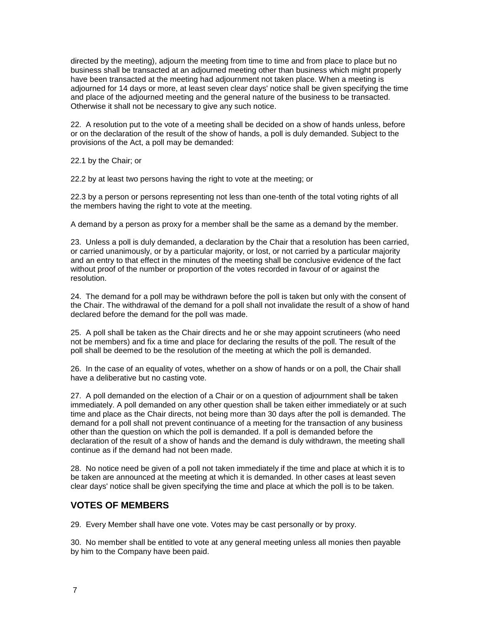directed by the meeting), adjourn the meeting from time to time and from place to place but no business shall be transacted at an adjourned meeting other than business which might properly have been transacted at the meeting had adjournment not taken place. When a meeting is adjourned for 14 days or more, at least seven clear days' notice shall be given specifying the time and place of the adjourned meeting and the general nature of the business to be transacted. Otherwise it shall not be necessary to give any such notice.

22. A resolution put to the vote of a meeting shall be decided on a show of hands unless, before or on the declaration of the result of the show of hands, a poll is duly demanded. Subject to the provisions of the Act, a poll may be demanded:

22.1 by the Chair; or

22.2 by at least two persons having the right to vote at the meeting; or

22.3 by a person or persons representing not less than one-tenth of the total voting rights of all the members having the right to vote at the meeting.

A demand by a person as proxy for a member shall be the same as a demand by the member.

23. Unless a poll is duly demanded, a declaration by the Chair that a resolution has been carried, or carried unanimously, or by a particular majority, or lost, or not carried by a particular majority and an entry to that effect in the minutes of the meeting shall be conclusive evidence of the fact without proof of the number or proportion of the votes recorded in favour of or against the resolution.

24. The demand for a poll may be withdrawn before the poll is taken but only with the consent of the Chair. The withdrawal of the demand for a poll shall not invalidate the result of a show of hand declared before the demand for the poll was made.

25. A poll shall be taken as the Chair directs and he or she may appoint scrutineers (who need not be members) and fix a time and place for declaring the results of the poll. The result of the poll shall be deemed to be the resolution of the meeting at which the poll is demanded.

26. In the case of an equality of votes, whether on a show of hands or on a poll, the Chair shall have a deliberative but no casting vote.

27. A poll demanded on the election of a Chair or on a question of adjournment shall be taken immediately. A poll demanded on any other question shall be taken either immediately or at such time and place as the Chair directs, not being more than 30 days after the poll is demanded. The demand for a poll shall not prevent continuance of a meeting for the transaction of any business other than the question on which the poll is demanded. If a poll is demanded before the declaration of the result of a show of hands and the demand is duly withdrawn, the meeting shall continue as if the demand had not been made.

28. No notice need be given of a poll not taken immediately if the time and place at which it is to be taken are announced at the meeting at which it is demanded. In other cases at least seven clear days' notice shall be given specifying the time and place at which the poll is to be taken.

### **VOTES OF MEMBERS**

29. Every Member shall have one vote. Votes may be cast personally or by proxy.

30. No member shall be entitled to vote at any general meeting unless all monies then payable by him to the Company have been paid.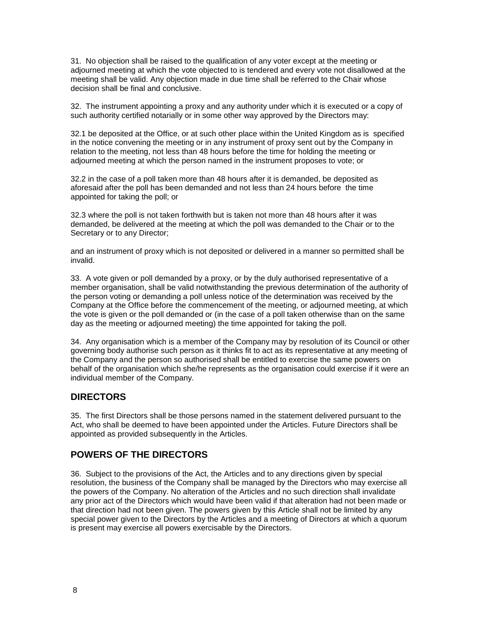31. No objection shall be raised to the qualification of any voter except at the meeting or adjourned meeting at which the vote objected to is tendered and every vote not disallowed at the meeting shall be valid. Any objection made in due time shall be referred to the Chair whose decision shall be final and conclusive.

32. The instrument appointing a proxy and any authority under which it is executed or a copy of such authority certified notarially or in some other way approved by the Directors may:

32.1 be deposited at the Office, or at such other place within the United Kingdom as is specified in the notice convening the meeting or in any instrument of proxy sent out by the Company in relation to the meeting, not less than 48 hours before the time for holding the meeting or adjourned meeting at which the person named in the instrument proposes to vote; or

32.2 in the case of a poll taken more than 48 hours after it is demanded, be deposited as aforesaid after the poll has been demanded and not less than 24 hours before the time appointed for taking the poll; or

32.3 where the poll is not taken forthwith but is taken not more than 48 hours after it was demanded, be delivered at the meeting at which the poll was demanded to the Chair or to the Secretary or to any Director;

and an instrument of proxy which is not deposited or delivered in a manner so permitted shall be invalid.

33. A vote given or poll demanded by a proxy, or by the duly authorised representative of a member organisation, shall be valid notwithstanding the previous determination of the authority of the person voting or demanding a poll unless notice of the determination was received by the Company at the Office before the commencement of the meeting, or adjourned meeting, at which the vote is given or the poll demanded or (in the case of a poll taken otherwise than on the same day as the meeting or adjourned meeting) the time appointed for taking the poll.

34. Any organisation which is a member of the Company may by resolution of its Council or other governing body authorise such person as it thinks fit to act as its representative at any meeting of the Company and the person so authorised shall be entitled to exercise the same powers on behalf of the organisation which she/he represents as the organisation could exercise if it were an individual member of the Company.

#### **DIRECTORS**

35. The first Directors shall be those persons named in the statement delivered pursuant to the Act, who shall be deemed to have been appointed under the Articles. Future Directors shall be appointed as provided subsequently in the Articles.

### **POWERS OF THE DIRECTORS**

36. Subject to the provisions of the Act, the Articles and to any directions given by special resolution, the business of the Company shall be managed by the Directors who may exercise all the powers of the Company. No alteration of the Articles and no such direction shall invalidate any prior act of the Directors which would have been valid if that alteration had not been made or that direction had not been given. The powers given by this Article shall not be limited by any special power given to the Directors by the Articles and a meeting of Directors at which a quorum is present may exercise all powers exercisable by the Directors.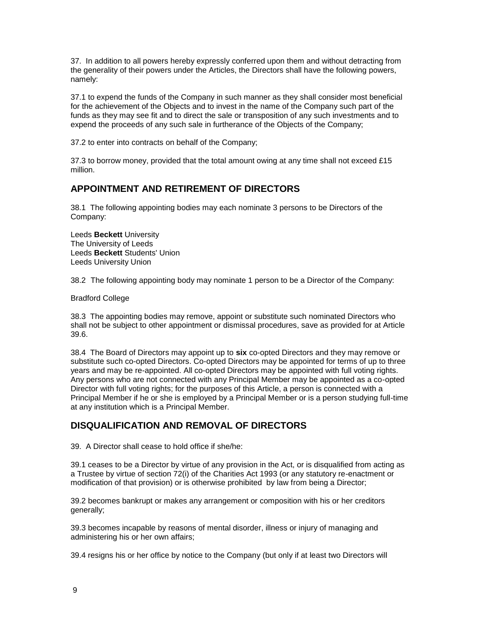37. In addition to all powers hereby expressly conferred upon them and without detracting from the generality of their powers under the Articles, the Directors shall have the following powers, namely:

37.1 to expend the funds of the Company in such manner as they shall consider most beneficial for the achievement of the Objects and to invest in the name of the Company such part of the funds as they may see fit and to direct the sale or transposition of any such investments and to expend the proceeds of any such sale in furtherance of the Objects of the Company;

37.2 to enter into contracts on behalf of the Company;

37.3 to borrow money, provided that the total amount owing at any time shall not exceed  $£15$ million.

### **APPOINTMENT AND RETIREMENT OF DIRECTORS**

38.1 The following appointing bodies may each nominate 3 persons to be Directors of the Company:

Leeds **Beckett** University The University of Leeds Leeds **Beckett** Students' Union Leeds University Union

38.2 The following appointing body may nominate 1 person to be a Director of the Company:

Bradford College

38.3 The appointing bodies may remove, appoint or substitute such nominated Directors who shall not be subject to other appointment or dismissal procedures, save as provided for at Article 39.6.

38.4 The Board of Directors may appoint up to **six** co-opted Directors and they may remove or substitute such co-opted Directors. Co-opted Directors may be appointed for terms of up to three years and may be re-appointed. All co-opted Directors may be appointed with full voting rights. Any persons who are not connected with any Principal Member may be appointed as a co-opted Director with full voting rights; for the purposes of this Article, a person is connected with a Principal Member if he or she is employed by a Principal Member or is a person studying full-time at any institution which is a Principal Member.

# **DISQUALIFICATION AND REMOVAL OF DIRECTORS**

39. A Director shall cease to hold office if she/he:

39.1 ceases to be a Director by virtue of any provision in the Act, or is disqualified from acting as a Trustee by virtue of section 72(i) of the Charities Act 1993 (or any statutory re-enactment or modification of that provision) or is otherwise prohibited by law from being a Director;

39.2 becomes bankrupt or makes any arrangement or composition with his or her creditors generally;

39.3 becomes incapable by reasons of mental disorder, illness or injury of managing and administering his or her own affairs;

39.4 resigns his or her office by notice to the Company (but only if at least two Directors will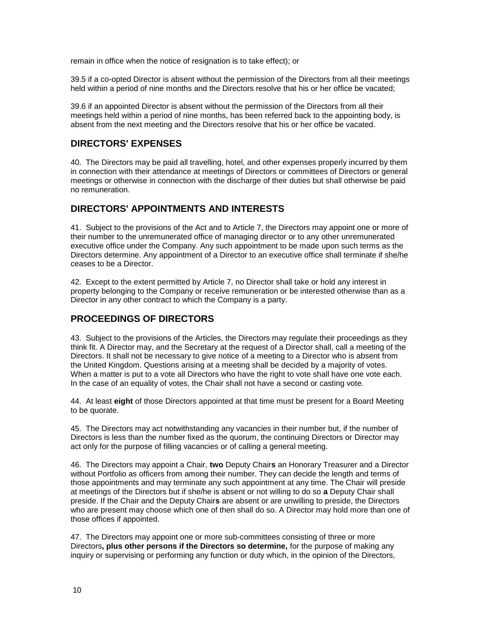remain in office when the notice of resignation is to take effect); or

39.5 if a co-opted Director is absent without the permission of the Directors from all their meetings held within a period of nine months and the Directors resolve that his or her office be vacated;

39.6 if an appointed Director is absent without the permission of the Directors from all their meetings held within a period of nine months, has been referred back to the appointing body, is absent from the next meeting and the Directors resolve that his or her office be vacated.

#### **DIRECTORS' EXPENSES**

40. The Directors may be paid all travelling, hotel, and other expenses properly incurred by them in connection with their attendance at meetings of Directors or committees of Directors or general meetings or otherwise in connection with the discharge of their duties but shall otherwise be paid no remuneration.

### **DIRECTORS' APPOINTMENTS AND INTERESTS**

41. Subject to the provisions of the Act and to Article 7, the Directors may appoint one or more of their number to the unremunerated office of managing director or to any other unremunerated executive office under the Company. Any such appointment to be made upon such terms as the Directors determine. Any appointment of a Director to an executive office shall terminate if she/he ceases to be a Director.

42. Except to the extent permitted by Article 7, no Director shall take or hold any interest in property belonging to the Company or receive remuneration or be interested otherwise than as a Director in any other contract to which the Company is a party.

### **PROCEEDINGS OF DIRECTORS**

43. Subject to the provisions of the Articles, the Directors may regulate their proceedings as they think fit. A Director may, and the Secretary at the request of a Director shall, call a meeting of the Directors. It shall not be necessary to give notice of a meeting to a Director who is absent from the United Kingdom. Questions arising at a meeting shall be decided by a majority of votes. When a matter is put to a vote all Directors who have the right to vote shall have one vote each. In the case of an equality of votes, the Chair shall not have a second or casting vote.

44. At least **eight** of those Directors appointed at that time must be present for a Board Meeting to be quorate.

45. The Directors may act notwithstanding any vacancies in their number but, if the number of Directors is less than the number fixed as the quorum, the continuing Directors or Director may act only for the purpose of filling vacancies or of calling a general meeting.

46. The Directors may appoint a Chair, **two** Deputy Chair**s** an Honorary Treasurer and a Director without Portfolio as officers from among their number. They can decide the length and terms of those appointments and may terminate any such appointment at any time. The Chair will preside at meetings of the Directors but if she/he is absent or not willing to do so **a** Deputy Chair shall preside. If the Chair and the Deputy Chair**s** are absent or are unwilling to preside, the Directors who are present may choose which one of then shall do so. A Director may hold more than one of those offices if appointed.

47. The Directors may appoint one or more sub-committees consisting of three or more Directors**, plus other persons if the Directors so determine,** for the purpose of making any inquiry or supervising or performing any function or duty which, in the opinion of the Directors,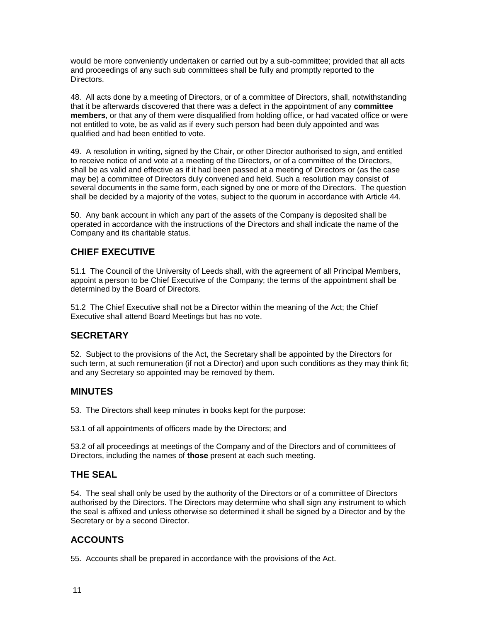would be more conveniently undertaken or carried out by a sub-committee; provided that all acts and proceedings of any such sub committees shall be fully and promptly reported to the Directors.

48. All acts done by a meeting of Directors, or of a committee of Directors, shall, notwithstanding that it be afterwards discovered that there was a defect in the appointment of any **committee members**, or that any of them were disqualified from holding office, or had vacated office or were not entitled to vote, be as valid as if every such person had been duly appointed and was qualified and had been entitled to vote.

49. A resolution in writing, signed by the Chair, or other Director authorised to sign, and entitled to receive notice of and vote at a meeting of the Directors, or of a committee of the Directors, shall be as valid and effective as if it had been passed at a meeting of Directors or (as the case may be) a committee of Directors duly convened and held. Such a resolution may consist of several documents in the same form, each signed by one or more of the Directors. The question shall be decided by a majority of the votes, subject to the quorum in accordance with Article 44.

50. Any bank account in which any part of the assets of the Company is deposited shall be operated in accordance with the instructions of the Directors and shall indicate the name of the Company and its charitable status.

# **CHIEF EXECUTIVE**

51.1 The Council of the University of Leeds shall, with the agreement of all Principal Members, appoint a person to be Chief Executive of the Company; the terms of the appointment shall be determined by the Board of Directors.

51.2 The Chief Executive shall not be a Director within the meaning of the Act; the Chief Executive shall attend Board Meetings but has no vote.

### **SECRETARY**

52. Subject to the provisions of the Act, the Secretary shall be appointed by the Directors for such term, at such remuneration (if not a Director) and upon such conditions as they may think fit; and any Secretary so appointed may be removed by them.

#### **MINUTES**

53. The Directors shall keep minutes in books kept for the purpose:

53.1 of all appointments of officers made by the Directors; and

53.2 of all proceedings at meetings of the Company and of the Directors and of committees of Directors, including the names of **those** present at each such meeting.

### **THE SEAL**

54. The seal shall only be used by the authority of the Directors or of a committee of Directors authorised by the Directors. The Directors may determine who shall sign any instrument to which the seal is affixed and unless otherwise so determined it shall be signed by a Director and by the Secretary or by a second Director.

### **ACCOUNTS**

55. Accounts shall be prepared in accordance with the provisions of the Act.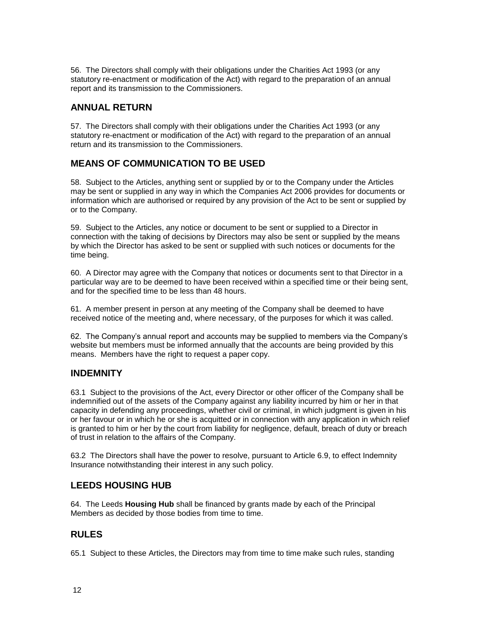56. The Directors shall comply with their obligations under the Charities Act 1993 (or any statutory re-enactment or modification of the Act) with regard to the preparation of an annual report and its transmission to the Commissioners.

# **ANNUAL RETURN**

57. The Directors shall comply with their obligations under the Charities Act 1993 (or any statutory re-enactment or modification of the Act) with regard to the preparation of an annual return and its transmission to the Commissioners.

# **MEANS OF COMMUNICATION TO BE USED**

58. Subject to the Articles, anything sent or supplied by or to the Company under the Articles may be sent or supplied in any way in which the Companies Act 2006 provides for documents or information which are authorised or required by any provision of the Act to be sent or supplied by or to the Company.

59. Subject to the Articles, any notice or document to be sent or supplied to a Director in connection with the taking of decisions by Directors may also be sent or supplied by the means by which the Director has asked to be sent or supplied with such notices or documents for the time being.

60. A Director may agree with the Company that notices or documents sent to that Director in a particular way are to be deemed to have been received within a specified time or their being sent, and for the specified time to be less than 48 hours.

61. A member present in person at any meeting of the Company shall be deemed to have received notice of the meeting and, where necessary, of the purposes for which it was called.

62. The Company's annual report and accounts may be supplied to members via the Company's website but members must be informed annually that the accounts are being provided by this means. Members have the right to request a paper copy.

### **INDEMNITY**

63.1 Subject to the provisions of the Act, every Director or other officer of the Company shall be indemnified out of the assets of the Company against any liability incurred by him or her in that capacity in defending any proceedings, whether civil or criminal, in which judgment is given in his or her favour or in which he or she is acquitted or in connection with any application in which relief is granted to him or her by the court from liability for negligence, default, breach of duty or breach of trust in relation to the affairs of the Company.

63.2 The Directors shall have the power to resolve, pursuant to Article 6.9, to effect Indemnity Insurance notwithstanding their interest in any such policy.

# **LEEDS HOUSING HUB**

64. The Leeds **Housing Hub** shall be financed by grants made by each of the Principal Members as decided by those bodies from time to time.

# **RULES**

65.1 Subject to these Articles, the Directors may from time to time make such rules, standing